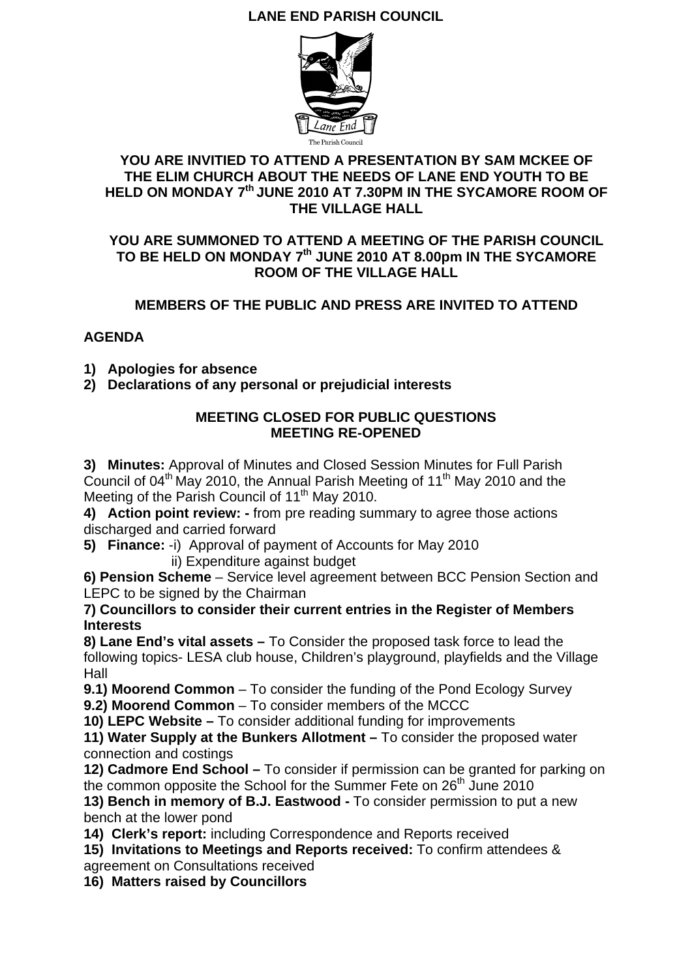# **LANE END PARISH COUNCIL**



## **YOU ARE INVITIED TO ATTEND A PRESENTATION BY SAM MCKEE OF THE ELIM CHURCH ABOUT THE NEEDS OF LANE END YOUTH TO BE HELD ON MONDAY 7th JUNE 2010 AT 7.30PM IN THE SYCAMORE ROOM OF THE VILLAGE HALL**

## **YOU ARE SUMMONED TO ATTEND A MEETING OF THE PARISH COUNCIL TO BE HELD ON MONDAY 7th JUNE 2010 AT 8.00pm IN THE SYCAMORE ROOM OF THE VILLAGE HALL**

# **MEMBERS OF THE PUBLIC AND PRESS ARE INVITED TO ATTEND**

## **AGENDA**

- **1) Apologies for absence**
- **2) Declarations of any personal or prejudicial interests**

## **MEETING CLOSED FOR PUBLIC QUESTIONS MEETING RE-OPENED**

**3) Minutes:** Approval of Minutes and Closed Session Minutes for Full Parish Council of  $04<sup>th</sup>$  May 2010, the Annual Parish Meeting of 11<sup>th</sup> May 2010 and the Meeting of the Parish Council of 11<sup>th</sup> May 2010.

**4) Action point review: -** from pre reading summary to agree those actions discharged and carried forward

**5) Finance:** -i) Approval of payment of Accounts for May 2010 ii) Expenditure against budget

**6) Pension Scheme** – Service level agreement between BCC Pension Section and LEPC to be signed by the Chairman

**7) Councillors to consider their current entries in the Register of Members Interests** 

**8) Lane End's vital assets –** To Consider the proposed task force to lead the following topics- LESA club house, Children's playground, playfields and the Village Hall

**9.1) Moorend Common** – To consider the funding of the Pond Ecology Survey **9.2) Moorend Common** – To consider members of the MCCC

**10) LEPC Website –** To consider additional funding for improvements

**11) Water Supply at the Bunkers Allotment –** To consider the proposed water connection and costings

**12) Cadmore End School –** To consider if permission can be granted for parking on the common opposite the School for the Summer Fete on 26<sup>th</sup> June 2010

**13) Bench in memory of B.J. Eastwood -** To consider permission to put a new bench at the lower pond

**14) Clerk's report:** including Correspondence and Reports received

**15) Invitations to Meetings and Reports received:** To confirm attendees & agreement on Consultations received

**16) Matters raised by Councillors**